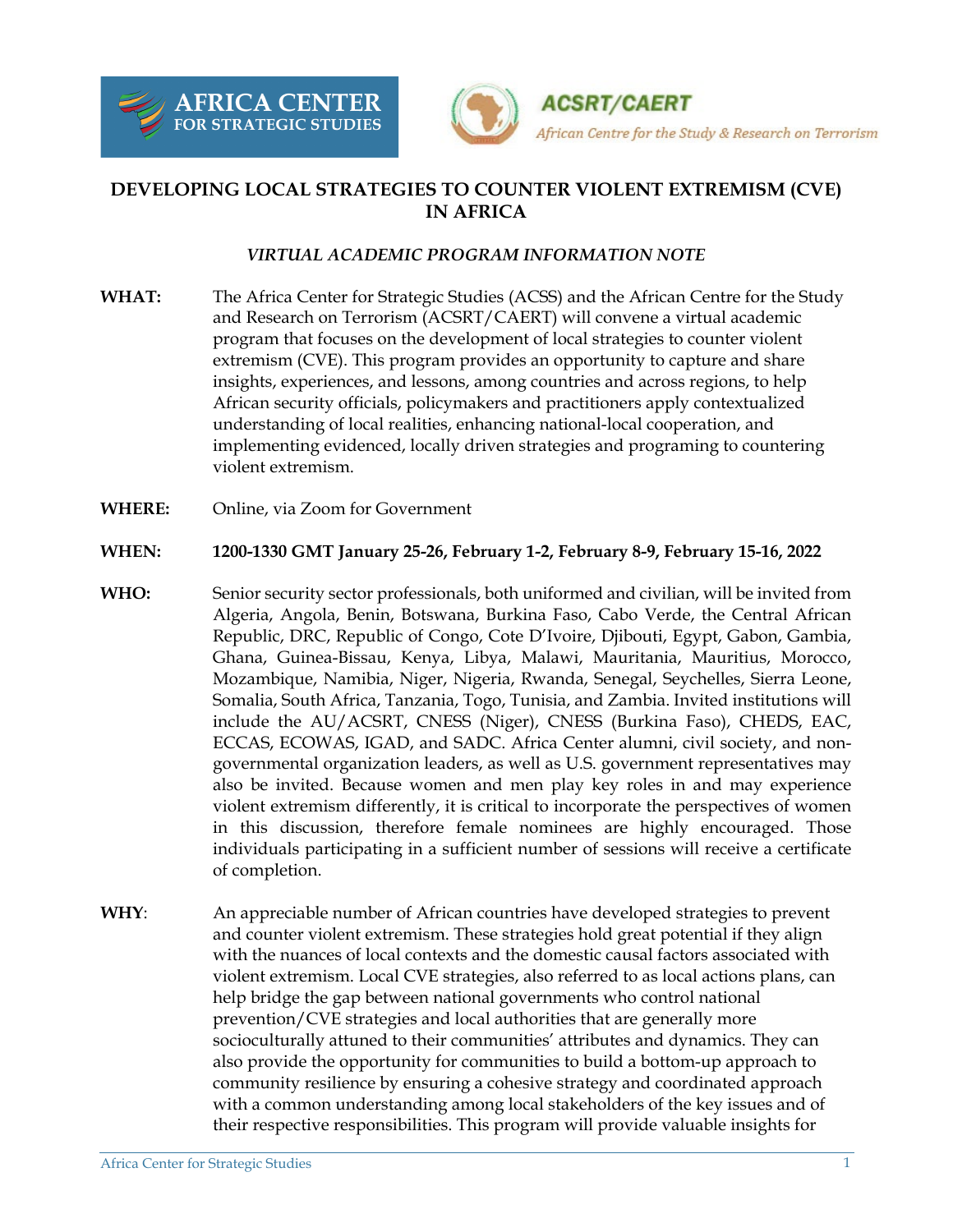



## **DEVELOPING LOCAL STRATEGIES TO COUNTER VIOLENT EXTREMISM (CVE) IN AFRICA**

## *VIRTUAL ACADEMIC PROGRAM INFORMATION NOTE*

- **WHAT:** The Africa Center for Strategic Studies (ACSS) and the African Centre for the Study and Research on Terrorism (ACSRT/CAERT) will convene a virtual academic program that focuses on the development of local strategies to counter violent extremism (CVE). This program provides an opportunity to capture and share insights, experiences, and lessons, among countries and across regions, to help African security officials, policymakers and practitioners apply contextualized understanding of local realities, enhancing national-local cooperation, and implementing evidenced, locally driven strategies and programing to countering violent extremism.
- **WHERE:** Online, via Zoom for Government

## **WHEN: 1200-1330 GMT January 25-26, February 1-2, February 8-9, February 15-16, 2022**

- **WHO:** Senior security sector professionals, both uniformed and civilian, will be invited from Algeria, Angola, Benin, Botswana, Burkina Faso, Cabo Verde, the Central African Republic, DRC, Republic of Congo, Cote D'Ivoire, Djibouti, Egypt, Gabon, Gambia, Ghana, Guinea-Bissau, Kenya, Libya, Malawi, Mauritania, Mauritius, Morocco, Mozambique, Namibia, Niger, Nigeria, Rwanda, Senegal, Seychelles, Sierra Leone, Somalia, South Africa, Tanzania, Togo, Tunisia, and Zambia. Invited institutions will include the AU/ACSRT, CNESS (Niger), CNESS (Burkina Faso), CHEDS, EAC, ECCAS, ECOWAS, IGAD, and SADC. Africa Center alumni, civil society, and nongovernmental organization leaders, as well as U.S. government representatives may also be invited. Because women and men play key roles in and may experience violent extremism differently, it is critical to incorporate the perspectives of women in this discussion, therefore female nominees are highly encouraged. Those individuals participating in a sufficient number of sessions will receive a certificate of completion.
- **WHY**: An appreciable number of African countries have developed strategies to prevent and counter violent extremism. These strategies hold great potential if they align with the nuances of local contexts and the domestic causal factors associated with violent extremism. Local CVE strategies, also referred to as local actions plans, can help bridge the gap between national governments who control national prevention/CVE strategies and local authorities that are generally more socioculturally attuned to their communities' attributes and dynamics. They can also provide the opportunity for communities to build a bottom-up approach to community resilience by ensuring a cohesive strategy and coordinated approach with a common understanding among local stakeholders of the key issues and of their respective responsibilities. This program will provide valuable insights for